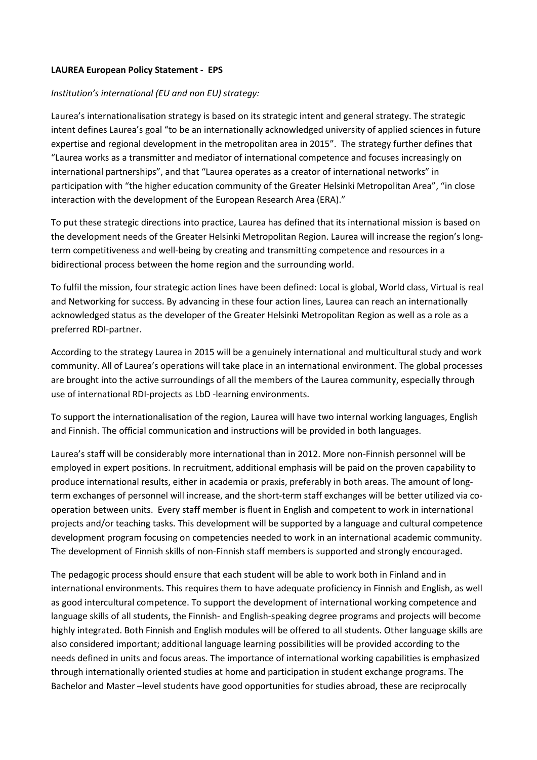## **LAUREA European Policy Statement - EPS**

## *Institution's international (EU and non EU) strategy:*

Laurea's internationalisation strategy is based on its strategic intent and general strategy. The strategic intent defines Laurea's goal "to be an internationally acknowledged university of applied sciences in future expertise and regional development in the metropolitan area in 2015". The strategy further defines that "Laurea works as a transmitter and mediator of international competence and focuses increasingly on international partnerships", and that "Laurea operates as a creator of international networks" in participation with "the higher education community of the Greater Helsinki Metropolitan Area", "in close interaction with the development of the European Research Area (ERA)."

To put these strategic directions into practice, Laurea has defined that its international mission is based on the development needs of the Greater Helsinki Metropolitan Region. Laurea will increase the region's longterm competitiveness and well-being by creating and transmitting competence and resources in a bidirectional process between the home region and the surrounding world.

To fulfil the mission, four strategic action lines have been defined: Local is global, World class, Virtual is real and Networking for success. By advancing in these four action lines, Laurea can reach an internationally acknowledged status as the developer of the Greater Helsinki Metropolitan Region as well as a role as a preferred RDI-partner.

According to the strategy Laurea in 2015 will be a genuinely international and multicultural study and work community. All of Laurea's operations will take place in an international environment. The global processes are brought into the active surroundings of all the members of the Laurea community, especially through use of international RDI-projects as LbD -learning environments.

To support the internationalisation of the region, Laurea will have two internal working languages, English and Finnish. The official communication and instructions will be provided in both languages.

Laurea's staff will be considerably more international than in 2012. More non-Finnish personnel will be employed in expert positions. In recruitment, additional emphasis will be paid on the proven capability to produce international results, either in academia or praxis, preferably in both areas. The amount of longterm exchanges of personnel will increase, and the short-term staff exchanges will be better utilized via cooperation between units. Every staff member is fluent in English and competent to work in international projects and/or teaching tasks. This development will be supported by a language and cultural competence development program focusing on competencies needed to work in an international academic community. The development of Finnish skills of non-Finnish staff members is supported and strongly encouraged.

The pedagogic process should ensure that each student will be able to work both in Finland and in international environments. This requires them to have adequate proficiency in Finnish and English, as well as good intercultural competence. To support the development of international working competence and language skills of all students, the Finnish- and English-speaking degree programs and projects will become highly integrated. Both Finnish and English modules will be offered to all students. Other language skills are also considered important; additional language learning possibilities will be provided according to the needs defined in units and focus areas. The importance of international working capabilities is emphasized through internationally oriented studies at home and participation in student exchange programs. The Bachelor and Master –level students have good opportunities for studies abroad, these are reciprocally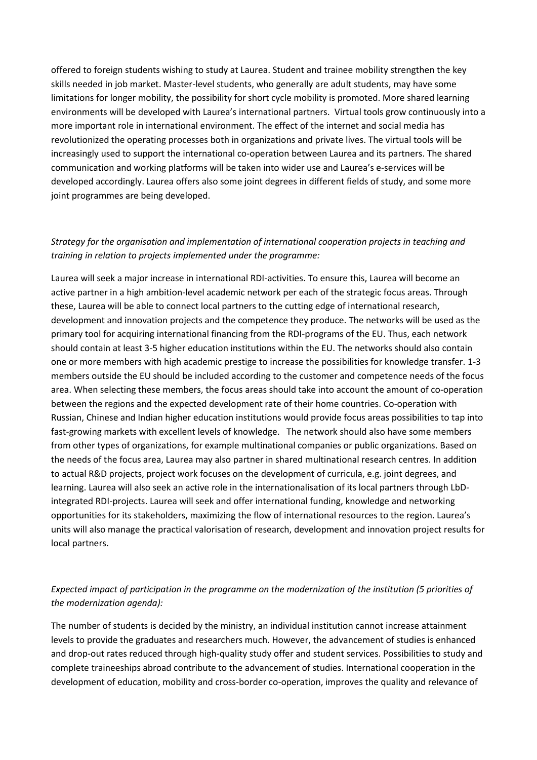offered to foreign students wishing to study at Laurea. Student and trainee mobility strengthen the key skills needed in job market. Master-level students, who generally are adult students, may have some limitations for longer mobility, the possibility for short cycle mobility is promoted. More shared learning environments will be developed with Laurea's international partners. Virtual tools grow continuously into a more important role in international environment. The effect of the internet and social media has revolutionized the operating processes both in organizations and private lives. The virtual tools will be increasingly used to support the international co-operation between Laurea and its partners. The shared communication and working platforms will be taken into wider use and Laurea's e-services will be developed accordingly. Laurea offers also some joint degrees in different fields of study, and some more joint programmes are being developed.

## *Strategy for the organisation and implementation of international cooperation projects in teaching and training in relation to projects implemented under the programme:*

Laurea will seek a major increase in international RDI-activities. To ensure this, Laurea will become an active partner in a high ambition-level academic network per each of the strategic focus areas. Through these, Laurea will be able to connect local partners to the cutting edge of international research, development and innovation projects and the competence they produce. The networks will be used as the primary tool for acquiring international financing from the RDI-programs of the EU. Thus, each network should contain at least 3-5 higher education institutions within the EU. The networks should also contain one or more members with high academic prestige to increase the possibilities for knowledge transfer. 1-3 members outside the EU should be included according to the customer and competence needs of the focus area. When selecting these members, the focus areas should take into account the amount of co-operation between the regions and the expected development rate of their home countries. Co-operation with Russian, Chinese and Indian higher education institutions would provide focus areas possibilities to tap into fast-growing markets with excellent levels of knowledge. The network should also have some members from other types of organizations, for example multinational companies or public organizations. Based on the needs of the focus area, Laurea may also partner in shared multinational research centres. In addition to actual R&D projects, project work focuses on the development of curricula, e.g. joint degrees, and learning. Laurea will also seek an active role in the internationalisation of its local partners through LbDintegrated RDI-projects. Laurea will seek and offer international funding, knowledge and networking opportunities for its stakeholders, maximizing the flow of international resources to the region. Laurea's units will also manage the practical valorisation of research, development and innovation project results for local partners.

## *Expected impact of participation in the programme on the modernization of the institution (5 priorities of the modernization agenda):*

The number of students is decided by the ministry, an individual institution cannot increase attainment levels to provide the graduates and researchers much. However, the advancement of studies is enhanced and drop-out rates reduced through high-quality study offer and student services. Possibilities to study and complete traineeships abroad contribute to the advancement of studies. International cooperation in the development of education, mobility and cross-border co-operation, improves the quality and relevance of